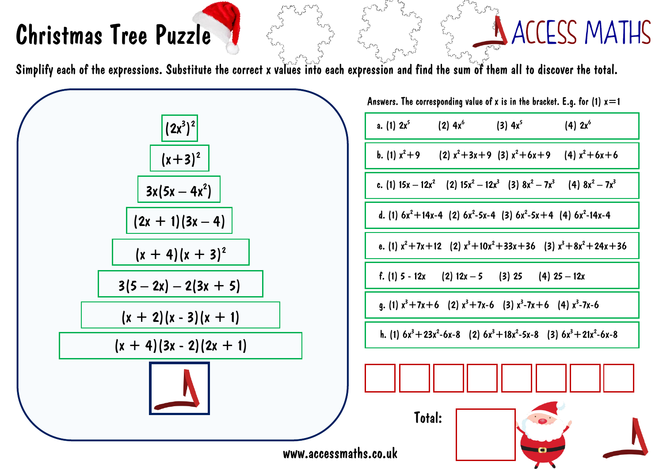## Christmas Tree Puzzle

## **ACCESS MATHS**

Simplify each of the expressions. Substitute the correct x values into each expression and find the sum of them all to discover the total.



| Answers. The corresponding value of <b>x</b> is in the bracket. E.g. for (1) $x$ $\!=$ 1 |  |
|------------------------------------------------------------------------------------------|--|
| a. (1) $2x^5$ (2) $4x^6$ (3) $4x^5$<br>(4) $2x^6$                                        |  |
| b. (1) $x^2+9$ (2) $x^2+3x+9$ (3) $x^2+6x+9$ (4) $x^2+6x+6$                              |  |
| c. (1) $15x - 12x^2$ (2) $15x^2 - 12x^3$ (3) $8x^2 - 7x^3$ (4) $8x^2 - 7x^3$             |  |
| d. (1) $6x^2+14x-4$ (2) $6x^2-5x-4$ (3) $6x^2-5x+4$ (4) $6x^2-14x-4$                     |  |
| e. (1) $x^2+7x+12$ (2) $x^3+10x^2+33x+36$ (3) $x^3+8x^2+24x+36$                          |  |
| f. (1) $5 - 12x$ (2) $12x - 5$ (3) $25$ (4) $25 - 12x$                                   |  |
| g. (1) $x^3+7x+6$ (2) $x^3+7x-6$ (3) $x^3-7x+6$ (4) $x^3-7x-6$                           |  |
| h. (1) $6x^3 + 23x^2 - 6x - 8$ (2) $6x^3 + 18x^2 - 5x - 8$ (3) $6x^3 + 21x^2 - 6x - 8$   |  |
|                                                                                          |  |
| <b>TALAL</b>                                                                             |  |

**D**